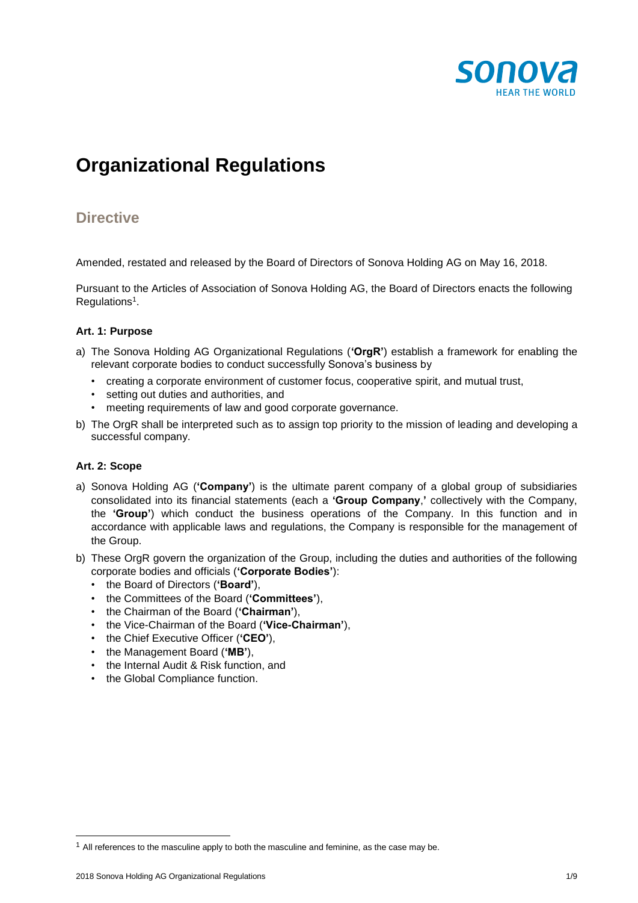

# **Organizational Regulations**

### **Directive**

Amended, restated and released by the Board of Directors of Sonova Holding AG on May 16, 2018.

Pursuant to the Articles of Association of Sonova Holding AG, the Board of Directors enacts the following Regulations<sup>1</sup>.

#### **Art. 1: Purpose**

- a) The Sonova Holding AG Organizational Regulations (**'OrgR'**) establish a framework for enabling the relevant corporate bodies to conduct successfully Sonova's business by
	- creating a corporate environment of customer focus, cooperative spirit, and mutual trust,
	- setting out duties and authorities, and
	- meeting requirements of law and good corporate governance.
- b) The OrgR shall be interpreted such as to assign top priority to the mission of leading and developing a successful company.

#### **Art. 2: Scope**

- a) Sonova Holding AG (**'Company'**) is the ultimate parent company of a global group of subsidiaries consolidated into its financial statements (each a **'Group Company**,**'** collectively with the Company, the **'Group'**) which conduct the business operations of the Company. In this function and in accordance with applicable laws and regulations, the Company is responsible for the management of the Group.
- b) These OrgR govern the organization of the Group, including the duties and authorities of the following corporate bodies and officials (**'Corporate Bodies'**):
	- the Board of Directors (**'Board'**),
	- the Committees of the Board (**'Committees'**),
	- the Chairman of the Board (**'Chairman'**),
	- the Vice-Chairman of the Board (**'Vice-Chairman'**),
	- the Chief Executive Officer (**'CEO'**),
	- the Management Board (**'MB'**),
	- the Internal Audit & Risk function, and
	- the Global Compliance function.

l

 $1$  All references to the masculine apply to both the masculine and feminine, as the case may be.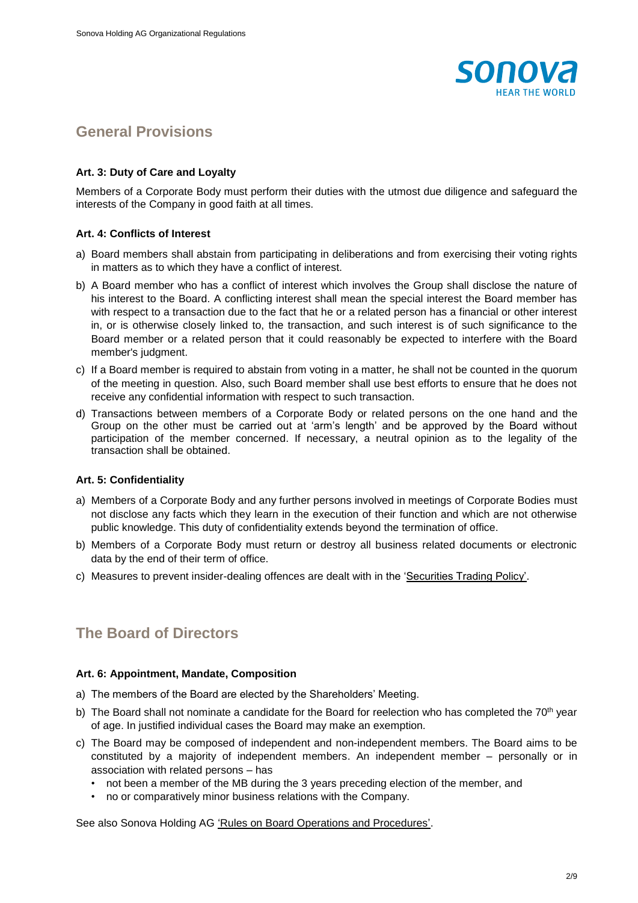

### **General Provisions**

#### **Art. 3: Duty of Care and Loyalty**

Members of a Corporate Body must perform their duties with the utmost due diligence and safeguard the interests of the Company in good faith at all times.

#### **Art. 4: Conflicts of Interest**

- a) Board members shall abstain from participating in deliberations and from exercising their voting rights in matters as to which they have a conflict of interest.
- b) A Board member who has a conflict of interest which involves the Group shall disclose the nature of his interest to the Board. A conflicting interest shall mean the special interest the Board member has with respect to a transaction due to the fact that he or a related person has a financial or other interest in, or is otherwise closely linked to, the transaction, and such interest is of such significance to the Board member or a related person that it could reasonably be expected to interfere with the Board member's judgment.
- c) If a Board member is required to abstain from voting in a matter, he shall not be counted in the quorum of the meeting in question. Also, such Board member shall use best efforts to ensure that he does not receive any confidential information with respect to such transaction.
- d) Transactions between members of a Corporate Body or related persons on the one hand and the Group on the other must be carried out at 'arm's length' and be approved by the Board without participation of the member concerned. If necessary, a neutral opinion as to the legality of the transaction shall be obtained.

#### **Art. 5: Confidentiality**

- a) Members of a Corporate Body and any further persons involved in meetings of Corporate Bodies must not disclose any facts which they learn in the execution of their function and which are not otherwise public knowledge. This duty of confidentiality extends beyond the termination of office.
- b) Members of a Corporate Body must return or destroy all business related documents or electronic data by the end of their term of office.
- c) Measures to prevent insider-dealing offences are dealt with in the 'Securities Trading Policy'.

### **The Board of Directors**

#### **Art. 6: Appointment, Mandate, Composition**

- a) The members of the Board are elected by the Shareholders' Meeting.
- b) The Board shall not nominate a candidate for the Board for reelection who has completed the 70<sup>th</sup> year of age. In justified individual cases the Board may make an exemption.
- c) The Board may be composed of independent and non-independent members. The Board aims to be constituted by a majority of independent members. An independent member – personally or in association with related persons – has
	- not been a member of the MB during the 3 years preceding election of the member, and
	- no or comparatively minor business relations with the Company.

See also Sonova Holding AG 'Rules on Board Operations and Procedures'.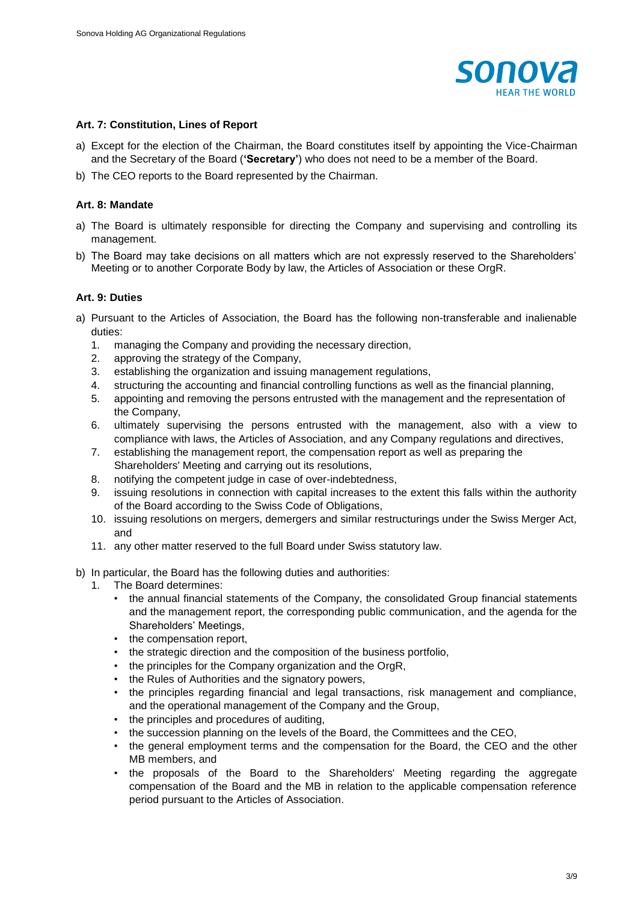

#### **Art. 7: Constitution, Lines of Report**

- a) Except for the election of the Chairman, the Board constitutes itself by appointing the Vice-Chairman and the Secretary of the Board (**'Secretary'**) who does not need to be a member of the Board.
- b) The CEO reports to the Board represented by the Chairman.

#### **Art. 8: Mandate**

- a) The Board is ultimately responsible for directing the Company and supervising and controlling its management.
- b) The Board may take decisions on all matters which are not expressly reserved to the Shareholders' Meeting or to another Corporate Body by law, the Articles of Association or these OrgR.

#### **Art. 9: Duties**

- a) Pursuant to the Articles of Association, the Board has the following non-transferable and inalienable duties:
	- 1. managing the Company and providing the necessary direction,
	- 2. approving the strategy of the Company,
	- 3. establishing the organization and issuing management regulations,
	- 4. structuring the accounting and financial controlling functions as well as the financial planning,
	- 5. appointing and removing the persons entrusted with the management and the representation of the Company,
	- 6. ultimately supervising the persons entrusted with the management, also with a view to compliance with laws, the Articles of Association, and any Company regulations and directives,
	- 7. establishing the management report, the compensation report as well as preparing the Shareholders' Meeting and carrying out its resolutions,
	- 8. notifying the competent judge in case of over-indebtedness,
	- 9. issuing resolutions in connection with capital increases to the extent this falls within the authority of the Board according to the Swiss Code of Obligations,
	- 10. issuing resolutions on mergers, demergers and similar restructurings under the Swiss Merger Act, and
	- 11. any other matter reserved to the full Board under Swiss statutory law.
- b) In particular, the Board has the following duties and authorities:
	- 1. The Board determines:
		- the annual financial statements of the Company, the consolidated Group financial statements and the management report, the corresponding public communication, and the agenda for the Shareholders' Meetings,
		- the compensation report,
		- the strategic direction and the composition of the business portfolio,
		- the principles for the Company organization and the OrgR,
		- the Rules of Authorities and the signatory powers,
		- the principles regarding financial and legal transactions, risk management and compliance, and the operational management of the Company and the Group,
		- the principles and procedures of auditing,
		- the succession planning on the levels of the Board, the Committees and the CEO,
		- the general employment terms and the compensation for the Board, the CEO and the other MB members, and
		- the proposals of the Board to the Shareholders' Meeting regarding the aggregate compensation of the Board and the MB in relation to the applicable compensation reference period pursuant to the Articles of Association.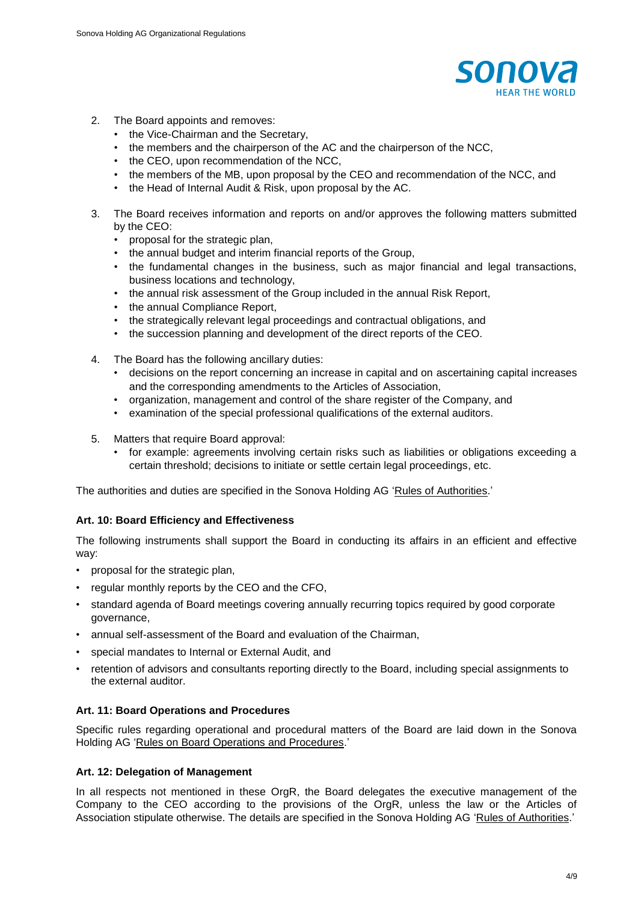

- 2. The Board appoints and removes:
	- the Vice-Chairman and the Secretary,
	- the members and the chairperson of the AC and the chairperson of the NCC,
	- the CEO, upon recommendation of the NCC,
	- the members of the MB, upon proposal by the CEO and recommendation of the NCC, and
	- the Head of Internal Audit & Risk, upon proposal by the AC.
- 3. The Board receives information and reports on and/or approves the following matters submitted by the CEO:
	- proposal for the strategic plan,
	- the annual budget and interim financial reports of the Group,
	- the fundamental changes in the business, such as major financial and legal transactions, business locations and technology,
	- the annual risk assessment of the Group included in the annual Risk Report,
	- the annual Compliance Report,
	- the strategically relevant legal proceedings and contractual obligations, and
	- the succession planning and development of the direct reports of the CEO.
- 4. The Board has the following ancillary duties:
	- decisions on the report concerning an increase in capital and on ascertaining capital increases and the corresponding amendments to the Articles of Association,
	- organization, management and control of the share register of the Company, and
	- examination of the special professional qualifications of the external auditors.
- 5. Matters that require Board approval:
	- for example: agreements involving certain risks such as liabilities or obligations exceeding a certain threshold; decisions to initiate or settle certain legal proceedings, etc.

The authorities and duties are specified in the Sonova Holding AG 'Rules of Authorities.'

#### **Art. 10: Board Efficiency and Effectiveness**

The following instruments shall support the Board in conducting its affairs in an efficient and effective way:

- proposal for the strategic plan,
- regular monthly reports by the CEO and the CFO,
- standard agenda of Board meetings covering annually recurring topics required by good corporate governance,
- annual self-assessment of the Board and evaluation of the Chairman,
- special mandates to Internal or External Audit, and
- retention of advisors and consultants reporting directly to the Board, including special assignments to the external auditor.

#### **Art. 11: Board Operations and Procedures**

Specific rules regarding operational and procedural matters of the Board are laid down in the Sonova Holding AG 'Rules on Board Operations and Procedures.'

#### **Art. 12: Delegation of Management**

In all respects not mentioned in these OrgR, the Board delegates the executive management of the Company to the CEO according to the provisions of the OrgR, unless the law or the Articles of Association stipulate otherwise. The details are specified in the Sonova Holding AG 'Rules of Authorities.'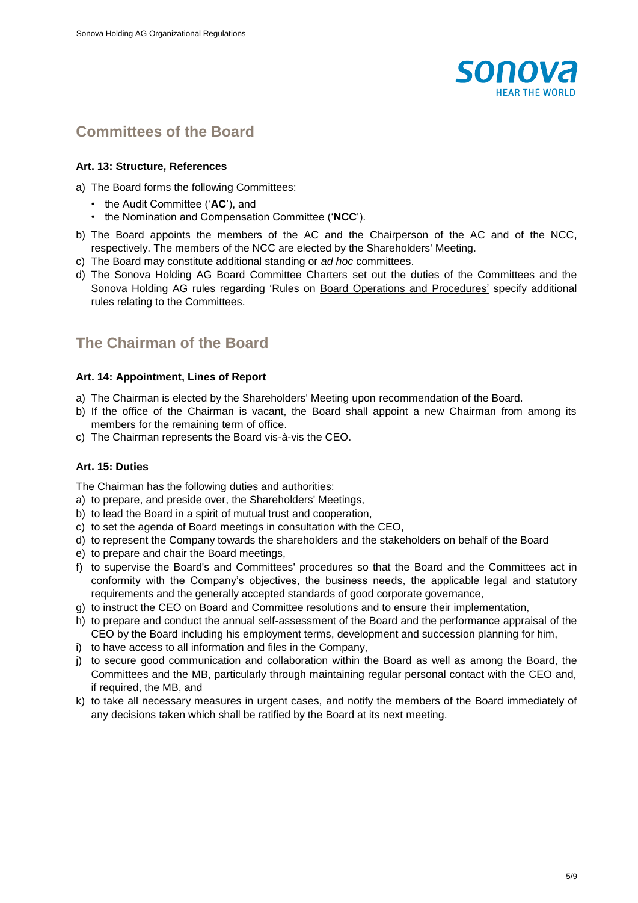

# **Committees of the Board**

#### **Art. 13: Structure, References**

- a) The Board forms the following Committees:
	- the Audit Committee ('**AC**'), and
	- the Nomination and Compensation Committee ('**NCC**').
- b) The Board appoints the members of the AC and the Chairperson of the AC and of the NCC, respectively. The members of the NCC are elected by the Shareholders' Meeting.
- c) The Board may constitute additional standing or *ad hoc* committees.
- d) The Sonova Holding AG Board Committee Charters set out the duties of the Committees and the Sonova Holding AG rules regarding 'Rules on Board Operations and Procedures' specify additional rules relating to the Committees.

# **The Chairman of the Board**

#### **Art. 14: Appointment, Lines of Report**

- a) The Chairman is elected by the Shareholders' Meeting upon recommendation of the Board.
- b) If the office of the Chairman is vacant, the Board shall appoint a new Chairman from among its members for the remaining term of office.
- c) The Chairman represents the Board vis-à-vis the CEO.

#### **Art. 15: Duties**

The Chairman has the following duties and authorities:

- a) to prepare, and preside over, the Shareholders' Meetings,
- b) to lead the Board in a spirit of mutual trust and cooperation,
- c) to set the agenda of Board meetings in consultation with the CEO,
- d) to represent the Company towards the shareholders and the stakeholders on behalf of the Board
- e) to prepare and chair the Board meetings,
- f) to supervise the Board's and Committees' procedures so that the Board and the Committees act in conformity with the Company's objectives, the business needs, the applicable legal and statutory requirements and the generally accepted standards of good corporate governance,
- g) to instruct the CEO on Board and Committee resolutions and to ensure their implementation,
- h) to prepare and conduct the annual self-assessment of the Board and the performance appraisal of the CEO by the Board including his employment terms, development and succession planning for him,
- i) to have access to all information and files in the Company,
- j) to secure good communication and collaboration within the Board as well as among the Board, the Committees and the MB, particularly through maintaining regular personal contact with the CEO and, if required, the MB, and
- k) to take all necessary measures in urgent cases, and notify the members of the Board immediately of any decisions taken which shall be ratified by the Board at its next meeting.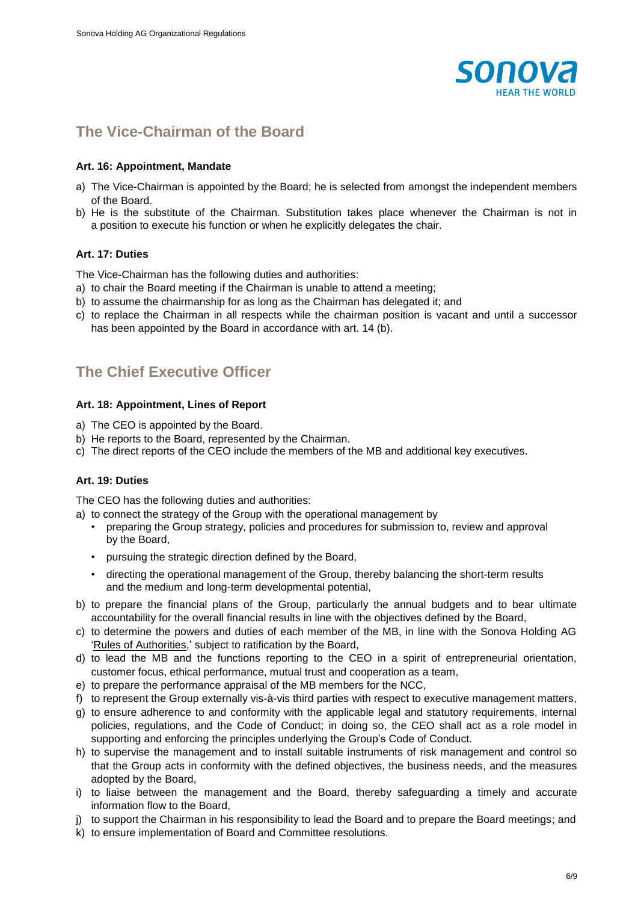

# **The Vice-Chairman of the Board**

#### **Art. 16: Appointment, Mandate**

- a) The Vice-Chairman is appointed by the Board; he is selected from amongst the independent members of the Board.
- b) He is the substitute of the Chairman. Substitution takes place whenever the Chairman is not in a position to execute his function or when he explicitly delegates the chair.

#### **Art. 17: Duties**

The Vice-Chairman has the following duties and authorities:

- a) to chair the Board meeting if the Chairman is unable to attend a meeting;
- b) to assume the chairmanship for as long as the Chairman has delegated it; and
- c) to replace the Chairman in all respects while the chairman position is vacant and until a successor has been appointed by the Board in accordance with art. 14 (b).

# **The Chief Executive Officer**

#### **Art. 18: Appointment, Lines of Report**

- a) The CEO is appointed by the Board.
- b) He reports to the Board, represented by the Chairman.
- c) The direct reports of the CEO include the members of the MB and additional key executives.

#### **Art. 19: Duties**

The CEO has the following duties and authorities:

- a) to connect the strategy of the Group with the operational management by
	- preparing the Group strategy, policies and procedures for submission to, review and approval by the Board,
	- pursuing the strategic direction defined by the Board,
	- directing the operational management of the Group, thereby balancing the short-term results and the medium and long-term developmental potential,
- b) to prepare the financial plans of the Group, particularly the annual budgets and to bear ultimate accountability for the overall financial results in line with the objectives defined by the Board,
- c) to determine the powers and duties of each member of the MB, in line with the Sonova Holding AG 'Rules of Authorities,' subject to ratification by the Board,
- d) to lead the MB and the functions reporting to the CEO in a spirit of entrepreneurial orientation, customer focus, ethical performance, mutual trust and cooperation as a team,
- e) to prepare the performance appraisal of the MB members for the NCC,
- f) to represent the Group externally vis-à-vis third parties with respect to executive management matters,
- g) to ensure adherence to and conformity with the applicable legal and statutory requirements, internal policies, regulations, and the Code of Conduct; in doing so, the CEO shall act as a role model in supporting and enforcing the principles underlying the Group's Code of Conduct.
- h) to supervise the management and to install suitable instruments of risk management and control so that the Group acts in conformity with the defined objectives, the business needs, and the measures adopted by the Board,
- i) to liaise between the management and the Board, thereby safeguarding a timely and accurate information flow to the Board,
- j) to support the Chairman in his responsibility to lead the Board and to prepare the Board meetings; and
- k) to ensure implementation of Board and Committee resolutions.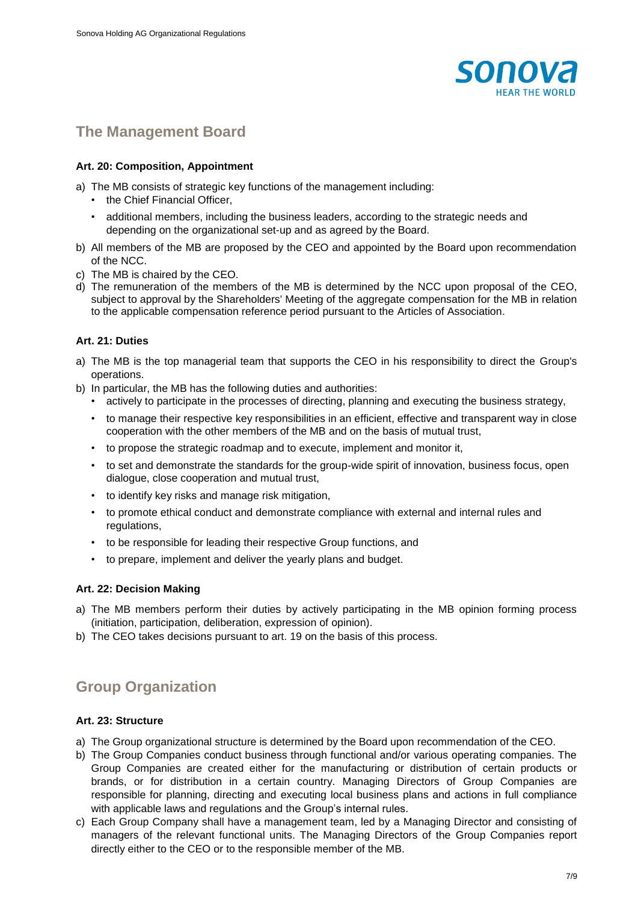

### **The Management Board**

#### **Art. 20: Composition, Appointment**

- a) The MB consists of strategic key functions of the management including:
	- the Chief Financial Officer,
	- additional members, including the business leaders, according to the strategic needs and depending on the organizational set-up and as agreed by the Board.
- b) All members of the MB are proposed by the CEO and appointed by the Board upon recommendation of the NCC.
- c) The MB is chaired by the CEO.
- d) The remuneration of the members of the MB is determined by the NCC upon proposal of the CEO, subject to approval by the Shareholders' Meeting of the aggregate compensation for the MB in relation to the applicable compensation reference period pursuant to the Articles of Association.

#### **Art. 21: Duties**

- a) The MB is the top managerial team that supports the CEO in his responsibility to direct the Group's operations.
- b) In particular, the MB has the following duties and authorities:
	- actively to participate in the processes of directing, planning and executing the business strategy,
	- to manage their respective key responsibilities in an efficient, effective and transparent way in close cooperation with the other members of the MB and on the basis of mutual trust,
	- to propose the strategic roadmap and to execute, implement and monitor it,
	- to set and demonstrate the standards for the group-wide spirit of innovation, business focus, open dialogue, close cooperation and mutual trust,
	- to identify key risks and manage risk mitigation,
	- to promote ethical conduct and demonstrate compliance with external and internal rules and regulations,
	- to be responsible for leading their respective Group functions, and
	- to prepare, implement and deliver the yearly plans and budget.

#### **Art. 22: Decision Making**

- a) The MB members perform their duties by actively participating in the MB opinion forming process (initiation, participation, deliberation, expression of opinion).
- b) The CEO takes decisions pursuant to art. 19 on the basis of this process.

# **Group Organization**

#### **Art. 23: Structure**

- a) The Group organizational structure is determined by the Board upon recommendation of the CEO.
- b) The Group Companies conduct business through functional and/or various operating companies. The Group Companies are created either for the manufacturing or distribution of certain products or brands, or for distribution in a certain country. Managing Directors of Group Companies are responsible for planning, directing and executing local business plans and actions in full compliance with applicable laws and regulations and the Group's internal rules.
- c) Each Group Company shall have a management team, led by a Managing Director and consisting of managers of the relevant functional units. The Managing Directors of the Group Companies report directly either to the CEO or to the responsible member of the MB.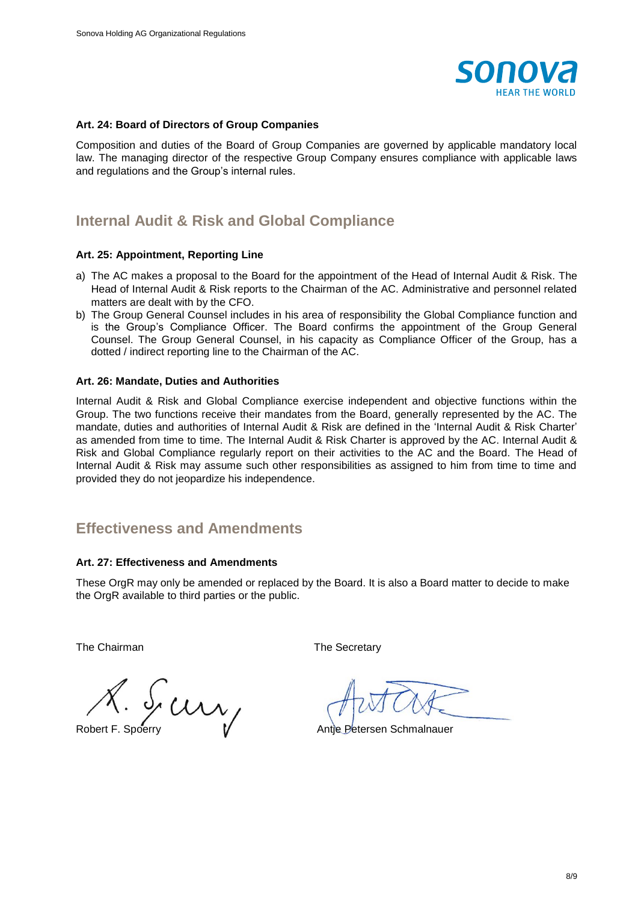

#### **Art. 24: Board of Directors of Group Companies**

Composition and duties of the Board of Group Companies are governed by applicable mandatory local law. The managing director of the respective Group Company ensures compliance with applicable laws and regulations and the Group's internal rules.

### **Internal Audit & Risk and Global Compliance**

#### **Art. 25: Appointment, Reporting Line**

- a) The AC makes a proposal to the Board for the appointment of the Head of Internal Audit & Risk. The Head of Internal Audit & Risk reports to the Chairman of the AC. Administrative and personnel related matters are dealt with by the CFO.
- b) The Group General Counsel includes in his area of responsibility the Global Compliance function and is the Group's Compliance Officer. The Board confirms the appointment of the Group General Counsel. The Group General Counsel, in his capacity as Compliance Officer of the Group, has a dotted / indirect reporting line to the Chairman of the AC.

#### **Art. 26: Mandate, Duties and Authorities**

Internal Audit & Risk and Global Compliance exercise independent and objective functions within the Group. The two functions receive their mandates from the Board, generally represented by the AC. The mandate, duties and authorities of Internal Audit & Risk are defined in the 'Internal Audit & Risk Charter' as amended from time to time. The Internal Audit & Risk Charter is approved by the AC. Internal Audit & Risk and Global Compliance regularly report on their activities to the AC and the Board. The Head of Internal Audit & Risk may assume such other responsibilities as assigned to him from time to time and provided they do not jeopardize his independence.

### **Effectiveness and Amendments**

#### **Art. 27: Effectiveness and Amendments**

These OrgR may only be amended or replaced by the Board. It is also a Board matter to decide to make the OrgR available to third parties or the public.

The Chairman The Secretary

 $X.$  Sp $\mu$  $\mathcal{U}$ <br>Robert F. Spoerry  $\mathcal{U}$